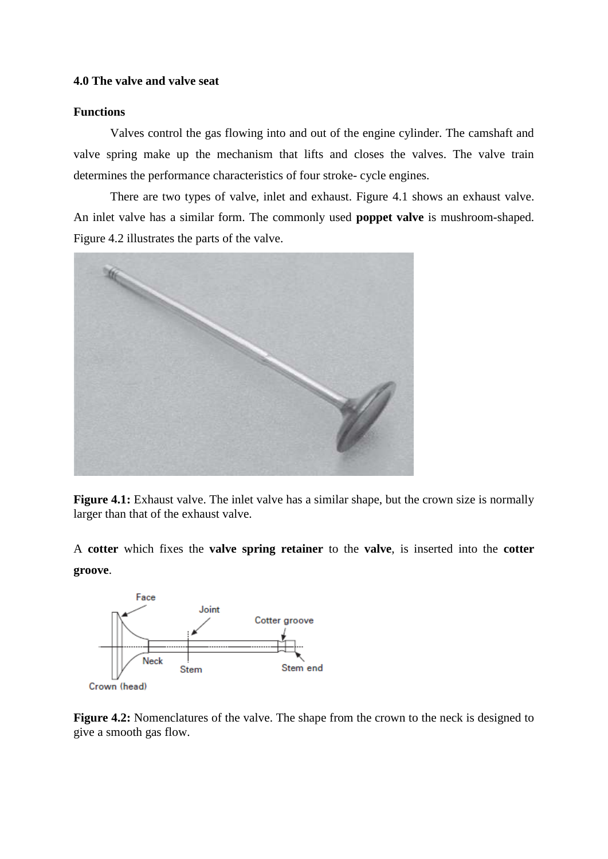## **4.0 The valve and valve seat**

## **Functions**

Valves control the gas flowing into and out of the engine cylinder. The camshaft and valve spring make up the mechanism that lifts and closes the valves. The valve train determines the performance characteristics of four stroke- cycle engines.

There are two types of valve, inlet and exhaust. Figure 4.1 shows an exhaust valve. An inlet valve has a similar form. The commonly used **poppet valve** is mushroom-shaped. Figure 4.2 illustrates the parts of the valve.



**Figure 4.1:** Exhaust valve. The inlet valve has a similar shape, but the crown size is normally larger than that of the exhaust valve.

A **cotter** which fixes the **valve spring retainer** to the **valve**, is inserted into the **cotter groove**.



**Figure 4.2:** Nomenclatures of the valve. The shape from the crown to the neck is designed to give a smooth gas flow.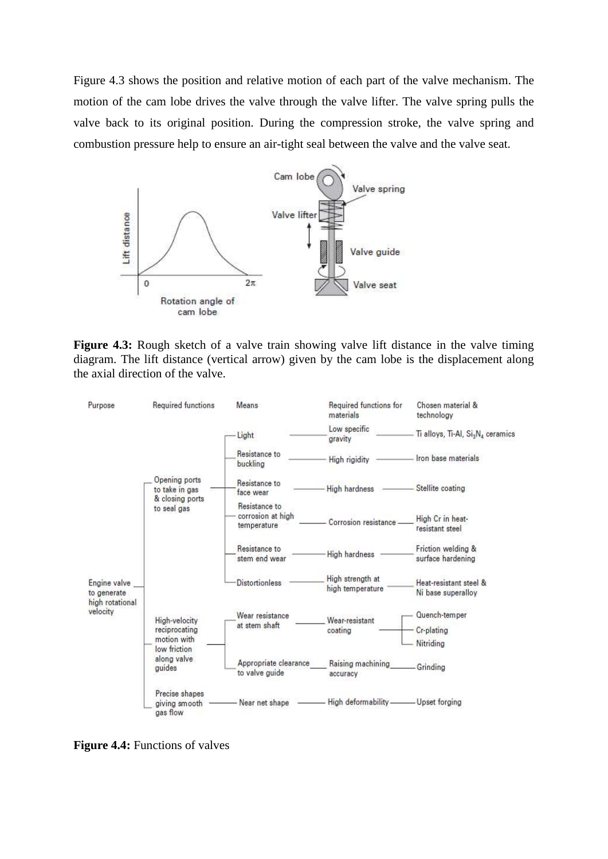Figure 4.3 shows the position and relative motion of each part of the valve mechanism. The motion of the cam lobe drives the valve through the valve lifter. The valve spring pulls the valve back to its original position. During the compression stroke, the valve spring and combustion pressure help to ensure an air-tight seal between the valve and the valve seat.



**Figure 4.3:** Rough sketch of a valve train showing valve lift distance in the valve timing diagram. The lift distance (vertical arrow) given by the cam lobe is the displacement along the axial direction of the valve.



**Figure 4.4:** Functions of valves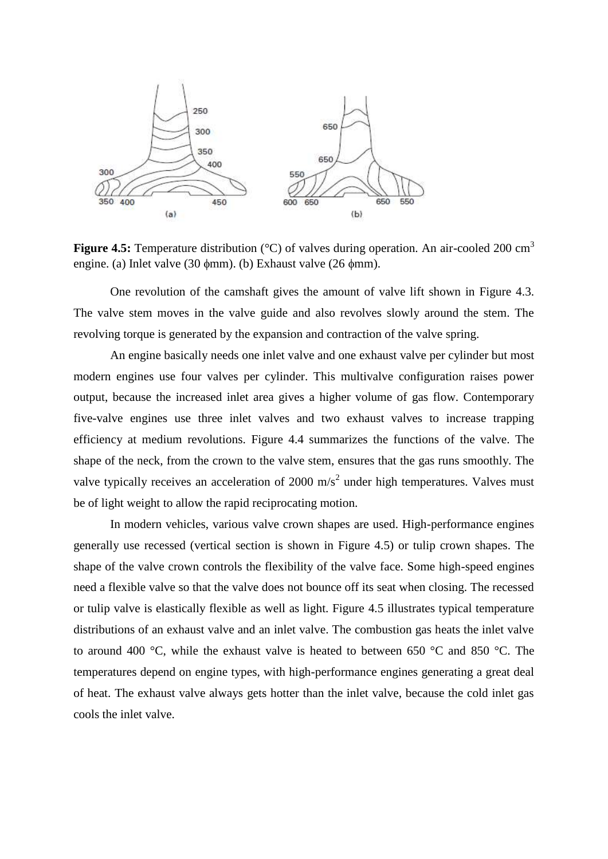

**Figure 4.5:** Temperature distribution (°C) of valves during operation. An air-cooled 200 cm<sup>3</sup> engine. (a) Inlet valve (30  $\phi$ mm). (b) Exhaust valve (26  $\phi$ mm).

One revolution of the camshaft gives the amount of valve lift shown in Figure 4.3. The valve stem moves in the valve guide and also revolves slowly around the stem. The revolving torque is generated by the expansion and contraction of the valve spring.

An engine basically needs one inlet valve and one exhaust valve per cylinder but most modern engines use four valves per cylinder. This multivalve configuration raises power output, because the increased inlet area gives a higher volume of gas flow. Contemporary five-valve engines use three inlet valves and two exhaust valves to increase trapping efficiency at medium revolutions. Figure 4.4 summarizes the functions of the valve. The shape of the neck, from the crown to the valve stem, ensures that the gas runs smoothly. The valve typically receives an acceleration of 2000  $\text{m/s}^2$  under high temperatures. Valves must be of light weight to allow the rapid reciprocating motion.

In modern vehicles, various valve crown shapes are used. High-performance engines generally use recessed (vertical section is shown in Figure 4.5) or tulip crown shapes. The shape of the valve crown controls the flexibility of the valve face. Some high-speed engines need a flexible valve so that the valve does not bounce off its seat when closing. The recessed or tulip valve is elastically flexible as well as light. Figure 4.5 illustrates typical temperature distributions of an exhaust valve and an inlet valve. The combustion gas heats the inlet valve to around 400 °C, while the exhaust valve is heated to between 650 °C and 850 °C. The temperatures depend on engine types, with high-performance engines generating a great deal of heat. The exhaust valve always gets hotter than the inlet valve, because the cold inlet gas cools the inlet valve.